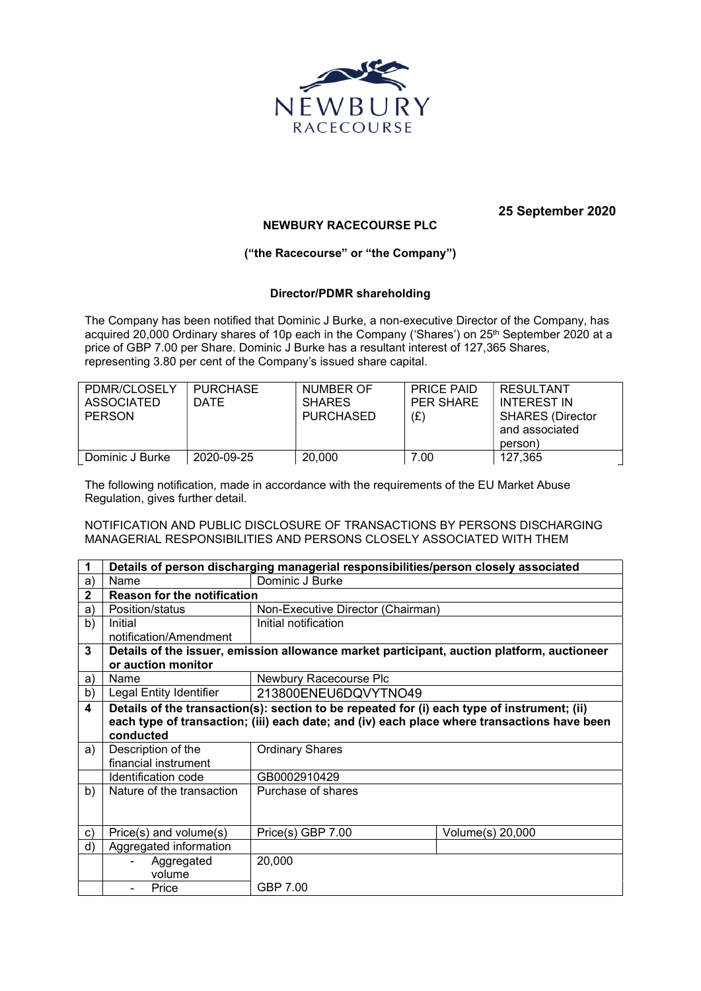

## 25 September 2020

## NEWBURY RACECOURSE PLC

## ("the Racecourse" or "the Company")

## Director/PDMR shareholding

The Company has been notified that Dominic J Burke, a non-executive Director of the Company, has acquired 20,000 Ordinary shares of 10p each in the Company ('Shares') on 25<sup>th</sup> September 2020 at a price of GBP 7.00 per Share. Dominic J Burke has a resultant interest of 127,365 Shares, representing 3.80 per cent of the Company's issued share capital.

| PDMR/CLOSELY<br><b>ASSOCIATED</b><br><b>PERSON</b> | PURCHASE<br><b>DATE</b> | NUMBER OF<br><b>SHARES</b><br>PURCHASED | <b>PRICE PAID</b><br>PER SHARE<br>(E) | RESULTANT<br>INTEREST IN<br><b>SHARES (Director</b><br>and associated<br>person) |
|----------------------------------------------------|-------------------------|-----------------------------------------|---------------------------------------|----------------------------------------------------------------------------------|
| Dominic J Burke                                    | 2020-09-25              | 20,000                                  | 7.00                                  | 127,365                                                                          |

The following notification, made in accordance with the requirements of the EU Market Abuse Regulation, gives further detail.

NOTIFICATION AND PUBLIC DISCLOSURE OF TRANSACTIONS BY PERSONS DISCHARGING MANAGERIAL RESPONSIBILITIES AND PERSONS CLOSELY ASSOCIATED WITH THEM

| 1            | Details of person discharging managerial responsibilities/person closely associated         |                                   |                  |  |  |
|--------------|---------------------------------------------------------------------------------------------|-----------------------------------|------------------|--|--|
| a)           | Name                                                                                        | Dominic J Burke                   |                  |  |  |
| $\mathbf{2}$ | <b>Reason for the notification</b>                                                          |                                   |                  |  |  |
| a)           | Position/status                                                                             | Non-Executive Director (Chairman) |                  |  |  |
| b)           | Initial                                                                                     | Initial notification              |                  |  |  |
|              | notification/Amendment                                                                      |                                   |                  |  |  |
| 3            | Details of the issuer, emission allowance market participant, auction platform, auctioneer  |                                   |                  |  |  |
|              | or auction monitor                                                                          |                                   |                  |  |  |
| a)           | Name                                                                                        | Newbury Racecourse Plc            |                  |  |  |
| b)           | Legal Entity Identifier                                                                     | 213800ENEU6DQVYTNO49              |                  |  |  |
| 4            | Details of the transaction(s): section to be repeated for (i) each type of instrument; (ii) |                                   |                  |  |  |
|              | each type of transaction; (iii) each date; and (iv) each place where transactions have been |                                   |                  |  |  |
|              | conducted                                                                                   |                                   |                  |  |  |
| a)           | Description of the                                                                          | <b>Ordinary Shares</b>            |                  |  |  |
|              | financial instrument                                                                        |                                   |                  |  |  |
|              | Identification code                                                                         | GB0002910429                      |                  |  |  |
| b)           | Nature of the transaction                                                                   | Purchase of shares                |                  |  |  |
|              |                                                                                             |                                   |                  |  |  |
|              |                                                                                             |                                   |                  |  |  |
| c)           | Price(s) and volume(s)                                                                      | Price(s) GBP 7.00                 | Volume(s) 20,000 |  |  |
| d)           | Aggregated information                                                                      |                                   |                  |  |  |
|              | Aggregated                                                                                  | 20,000                            |                  |  |  |
|              | volume                                                                                      |                                   |                  |  |  |
|              | Price                                                                                       | GBP 7.00                          |                  |  |  |